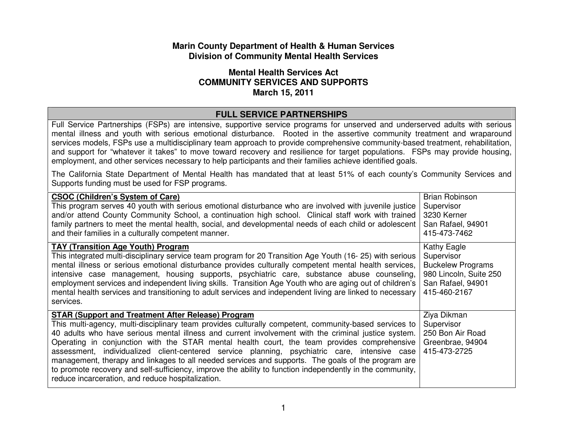## **Marin County Department of Health & Human Services Division of Community Mental Health Services**

## **Mental Health Services Act COMMUNITY SERVICES AND SUPPORTS March 15, 2011**

## **FULL SERVICE PARTNERSHIPS**

 Full Service Partnerships (FSPs) are intensive, supportive service programs for unserved and underserved adults with serious mental illness and youth with serious emotional disturbance. Rooted in the assertive community treatment and wraparound services models, FSPs use a multidisciplinary team approach to provide comprehensive community-based treatment, rehabilitation, and support for "whatever it takes" to move toward recovery and resilience for target populations. FSPs may provide housing, employment, and other services necessary to help participants and their families achieve identified goals.

The California State Department of Mental Health has mandated that at least 51% of each county's Community Services and Supports funding must be used for FSP programs.

| <b>CSOC (Children's System of Care)</b><br>This program serves 40 youth with serious emotional disturbance who are involved with juvenile justice<br>and/or attend County Community School, a continuation high school. Clinical staff work with trained<br>family partners to meet the mental health, social, and developmental needs of each child or adolescent<br>and their families in a culturally competent manner.                                                                                                                                                                                                                                                                                                                        | <b>Brian Robinson</b><br>Supervisor<br>3230 Kerner<br>San Rafael, 94901<br>415-473-7462                              |
|---------------------------------------------------------------------------------------------------------------------------------------------------------------------------------------------------------------------------------------------------------------------------------------------------------------------------------------------------------------------------------------------------------------------------------------------------------------------------------------------------------------------------------------------------------------------------------------------------------------------------------------------------------------------------------------------------------------------------------------------------|----------------------------------------------------------------------------------------------------------------------|
| <b>TAY (Transition Age Youth) Program</b><br>This integrated multi-disciplinary service team program for 20 Transition Age Youth (16- 25) with serious<br>mental illness or serious emotional disturbance provides culturally competent mental health services,<br>intensive case management, housing supports, psychiatric care, substance abuse counseling,<br>employment services and independent living skills. Transition Age Youth who are aging out of children's<br>mental health services and transitioning to adult services and independent living are linked to necessary<br>services.                                                                                                                                                | Kathy Eagle<br>Supervisor<br><b>Buckelew Programs</b><br>980 Lincoln, Suite 250<br>San Rafael, 94901<br>415-460-2167 |
| <b>STAR (Support and Treatment After Release) Program</b><br>This multi-agency, multi-disciplinary team provides culturally competent, community-based services to<br>40 adults who have serious mental illness and current involvement with the criminal justice system.<br>Operating in conjunction with the STAR mental health court, the team provides comprehensive<br>assessment, individualized client-centered service planning, psychiatric care, intensive case<br>management, therapy and linkages to all needed services and supports. The goals of the program are<br>to promote recovery and self-sufficiency, improve the ability to function independently in the community,<br>reduce incarceration, and reduce hospitalization. | Ziya Dikman<br>Supervisor<br>250 Bon Air Road<br>Greenbrae, 94904<br>415-473-2725                                    |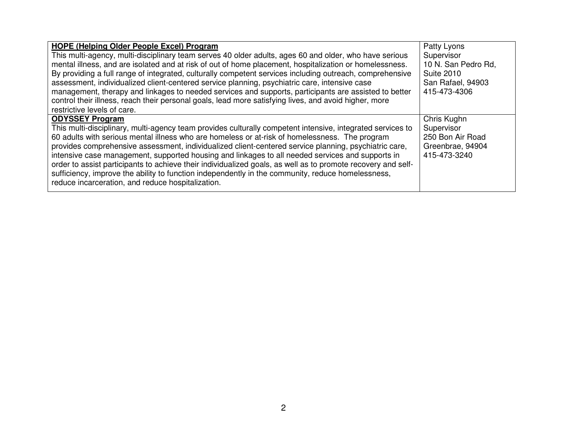| <b>HOPE (Helping Older People Excel) Program</b>                                                             | Patty Lyons         |
|--------------------------------------------------------------------------------------------------------------|---------------------|
| This multi-agency, multi-disciplinary team serves 40 older adults, ages 60 and older, who have serious       | Supervisor          |
| mental illness, and are isolated and at risk of out of home placement, hospitalization or homelessness.      | 10 N. San Pedro Rd, |
| By providing a full range of integrated, culturally competent services including outreach, comprehensive     | <b>Suite 2010</b>   |
| assessment, individualized client-centered service planning, psychiatric care, intensive case                | San Rafael, 94903   |
| management, therapy and linkages to needed services and supports, participants are assisted to better        | 415-473-4306        |
| control their illness, reach their personal goals, lead more satisfying lives, and avoid higher, more        |                     |
| restrictive levels of care.                                                                                  |                     |
| <b>ODYSSEY Program</b>                                                                                       | Chris Kughn         |
| This multi-disciplinary, multi-agency team provides culturally competent intensive, integrated services to   | Supervisor          |
| 60 adults with serious mental illness who are homeless or at-risk of homelessness. The program               | 250 Bon Air Road    |
| provides comprehensive assessment, individualized client-centered service planning, psychiatric care,        | Greenbrae, 94904    |
| intensive case management, supported housing and linkages to all needed services and supports in             | 415-473-3240        |
| order to assist participants to achieve their individualized goals, as well as to promote recovery and self- |                     |
| sufficiency, improve the ability to function independently in the community, reduce homelessness,            |                     |
| reduce incarceration, and reduce hospitalization.                                                            |                     |
|                                                                                                              |                     |